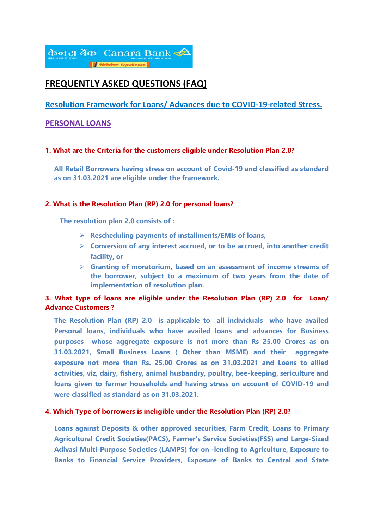

# **FREQUENTLY ASKED QUESTIONS (FAQ)**

## **Resolution Framework for Loans/ Advances due to COVID-19-related Stress.**

## **PERSONAL LOANS**

### **1. What are the Criteria for the customers eligible under Resolution Plan 2.0?**

**All Retail Borrowers having stress on account of Covid-19 and classified as standard as on 31.03.2021 are eligible under the framework.**

### **2. What is the Resolution Plan (RP) 2.0 for personal loans?**

 **The resolution plan 2.0 consists of :**

- **Rescheduling payments of installments/EMIs of loans,**
- **Conversion of any interest accrued, or to be accrued, into another credit facility, or**
- **Granting of moratorium, based on an assessment of income streams of the borrower, subject to a maximum of two years from the date of implementation of resolution plan.**

## **3. What type of loans are eligible under the Resolution Plan (RP) 2.0 for Loan/ Advance Customers ?**

**The Resolution Plan (RP) 2.0 is applicable to all individuals who have availed Personal loans, individuals who have availed loans and advances for Business purposes whose aggregate exposure is not more than Rs 25.00 Crores as on 31.03.2021, Small Business Loans ( Other than MSME) and their aggregate exposure not more than Rs. 25.00 Crores as on 31.03.2021 and Loans to allied activities, viz, dairy, fishery, animal husbandry, poultry, bee-keeping, sericulture and loans given to farmer households and having stress on account of COVID-19 and were classified as standard as on 31.03.2021.**

#### **4. Which Type of borrowers is ineligible under the Resolution Plan (RP) 2.0?**

**Loans against Deposits & other approved securities, Farm Credit, Loans to Primary Agricultural Credit Societies(PACS), Farmer's Service Societies(FSS) and Large-Sized Adivasi Multi-Purpose Societies (LAMPS) for on -lending to Agriculture, Exposure to Banks to Financial Service Providers, Exposure of Banks to Central and State**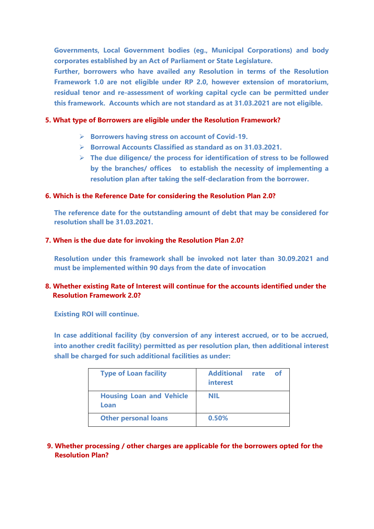**Governments, Local Government bodies (eg., Municipal Corporations) and body corporates established by an Act of Parliament or State Legislature.**

**Further, borrowers who have availed any Resolution in terms of the Resolution Framework 1.0 are not eligible under RP 2.0, however extension of moratorium, residual tenor and re-assessment of working capital cycle can be permitted under this framework. Accounts which are not standard as at 31.03.2021 are not eligible.**

### **5. What type of Borrowers are eligible under the Resolution Framework?**

- **Borrowers having stress on account of Covid-19.**
- **Borrowal Accounts Classified as standard as on 31.03.2021.**
- **The due diligence/ the process for identification of stress to be followed by the branches/ offices to establish the necessity of implementing a resolution plan after taking the self-declaration from the borrower.**

## **6. Which is the Reference Date for considering the Resolution Plan 2.0?**

**The reference date for the outstanding amount of debt that may be considered for resolution shall be 31.03.2021.**

### **7. When is the due date for invoking the Resolution Plan 2.0?**

**Resolution under this framework shall be invoked not later than 30.09.2021 and must be implemented within 90 days from the date of invocation**

## **8. Whether existing Rate of Interest will continue for the accounts identified under the Resolution Framework 2.0?**

**Existing ROI will continue.** 

**In case additional facility (by conversion of any interest accrued, or to be accrued, into another credit facility) permitted as per resolution plan, then additional interest shall be charged for such additional facilities as under:**

| <b>Type of Loan facility</b>            | <b>Additional</b><br>interest | rate | - ot |
|-----------------------------------------|-------------------------------|------|------|
| <b>Housing Loan and Vehicle</b><br>Loan | <b>NIL</b>                    |      |      |
| <b>Other personal loans</b>             | 0.50%                         |      |      |

## **9. Whether processing / other charges are applicable for the borrowers opted for the Resolution Plan?**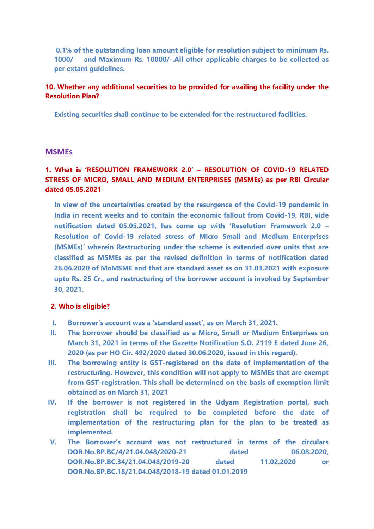**0.1% of the outstanding loan amount eligible for resolution subject to minimum Rs. 1000/- and Maximum Rs. 10000/-.All other applicable charges to be collected as per extant guidelines.**

## **10. Whether any additional securities to be provided for availing the facility under the Resolution Plan?**

**Existing securities shall continue to be extended for the restructured facilities.**

#### **MSMEs**

## **1. What is 'RESOLUTION FRAMEWORK 2.0' – RESOLUTION OF COVID-19 RELATED STRESS OF MICRO, SMALL AND MEDIUM ENTERPRISES (MSMEs) as per RBI Circular dated 05.05.2021**

**In view of the uncertainties created by the resurgence of the Covid-19 pandemic in India in recent weeks and to contain the economic fallout from Covid-19, RBI, vide notification dated 05.05.2021, has come up with 'Resolution Framework 2.0 – Resolution of Covid-19 related stress of Micro Small and Medium Enterprises (MSMEs)' wherein Restructuring under the scheme is extended over units that are classified as MSMEs as per the revised definition in terms of notification dated 26.06.2020 of MoMSME and that are standard asset as on 31.03.2021 with exposure upto Rs. 25 Cr., and restructuring of the borrower account is invoked by September 30, 2021.**

### **2. Who is eligible?**

- **I. Borrower's account was a 'standard asset', as on March 31, 2021.**
- **II. The borrower should be classified as a Micro, Small or Medium Enterprises on March 31, 2021 in terms of the Gazette Notification S.O. 2119 E dated June 26, 2020 (as per HO Cir. 492/2020 dated 30.06.2020, issued in this regard).**
- **III. The borrowing entity is GST-registered on the date of implementation of the restructuring. However, this condition will not apply to MSMEs that are exempt from GST-registration. This shall be determined on the basis of exemption limit obtained as on March 31, 2021**
- **IV. If the borrower is not registered in the Udyam Registration portal, such registration shall be required to be completed before the date of implementation of the restructuring plan for the plan to be treated as implemented.**
- **V. The Borrower's account was not restructured in terms of the circulars DOR.No.BP.BC/4/21.04.048/2020-21 dated 06.08.2020, DOR.No.BP.BC.34/21.04.048/2019-20 dated 11.02.2020 or DOR.No.BP.BC.18/21.04.048/2018-19 dated 01.01.2019**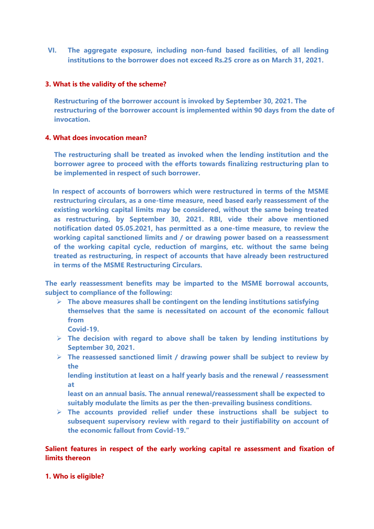**VI. The aggregate exposure, including non-fund based facilities, of all lending institutions to the borrower does not exceed Rs.25 crore as on March 31, 2021.**

### **3. What is the validity of the scheme?**

**Restructuring of the borrower account is invoked by September 30, 2021. The restructuring of the borrower account is implemented within 90 days from the date of invocation.**

### **4. What does invocation mean?**

**The restructuring shall be treated as invoked when the lending institution and the borrower agree to proceed with the efforts towards finalizing restructuring plan to be implemented in respect of such borrower.**

 **In respect of accounts of borrowers which were restructured in terms of the MSME restructuring circulars, as a one-time measure, need based early reassessment of the existing working capital limits may be considered, without the same being treated as restructuring, by September 30, 2021. RBI, vide their above mentioned notification dated 05.05.2021, has permitted as a one-time measure, to review the working capital sanctioned limits and / or drawing power based on a reassessment of the working capital cycle, reduction of margins, etc. without the same being treated as restructuring, in respect of accounts that have already been restructured in terms of the MSME Restructuring Circulars.**

**The early reassessment benefits may be imparted to the MSME borrowal accounts, subject to compliance of the following:**

- **The above measures shall be contingent on the lending institutions satisfying themselves that the same is necessitated on account of the economic fallout from**
	- **Covid-19.**
- **The decision with regard to above shall be taken by lending institutions by September 30, 2021.**
- **The reassessed sanctioned limit / drawing power shall be subject to review by the**

**lending institution at least on a half yearly basis and the renewal / reassessment at**

**least on an annual basis. The annual renewal/reassessment shall be expected to suitably modulate the limits as per the then-prevailing business conditions.**

 **The accounts provided relief under these instructions shall be subject to subsequent supervisory review with regard to their justifiability on account of the economic fallout from Covid-19."**

## **Salient features in respect of the early working capital re assessment and fixation of limits thereon**

**1. Who is eligible?**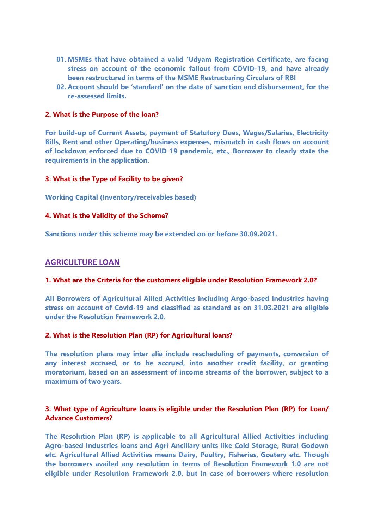- **01. MSMEs that have obtained a valid 'Udyam Registration Certificate, are facing stress on account of the economic fallout from COVID-19, and have already been restructured in terms of the MSME Restructuring Circulars of RBI**
- **02. Account should be 'standard' on the date of sanction and disbursement, for the re-assessed limits.**

#### **2. What is the Purpose of the loan?**

**For build-up of Current Assets, payment of Statutory Dues, Wages/Salaries, Electricity Bills, Rent and other Operating/business expenses, mismatch in cash flows on account of lockdown enforced due to COVID 19 pandemic, etc., Borrower to clearly state the requirements in the application.**

### **3. What is the Type of Facility to be given?**

**Working Capital (Inventory/receivables based)**

#### **4. What is the Validity of the Scheme?**

**Sanctions under this scheme may be extended on or before 30.09.2021.**

#### **AGRICULTURE LOAN**

#### **1. What are the Criteria for the customers eligible under Resolution Framework 2.0?**

**All Borrowers of Agricultural Allied Activities including Argo-based Industries having stress on account of Covid-19 and classified as standard as on 31.03.2021 are eligible under the Resolution Framework 2.0.** 

### **2. What is the Resolution Plan (RP) for Agricultural loans?**

**The resolution plans may inter alia include rescheduling of payments, conversion of any interest accrued, or to be accrued, into another credit facility, or granting moratorium, based on an assessment of income streams of the borrower, subject to a maximum of two years.** 

## **3. What type of Agriculture loans is eligible under the Resolution Plan (RP) for Loan/ Advance Customers?**

**The Resolution Plan (RP) is applicable to all Agricultural Allied Activities including Agro-based Industries loans and Agri Ancillary units like Cold Storage, Rural Godown etc. Agricultural Allied Activities means Dairy, Poultry, Fisheries, Goatery etc. Though the borrowers availed any resolution in terms of Resolution Framework 1.0 are not eligible under Resolution Framework 2.0, but in case of borrowers where resolution**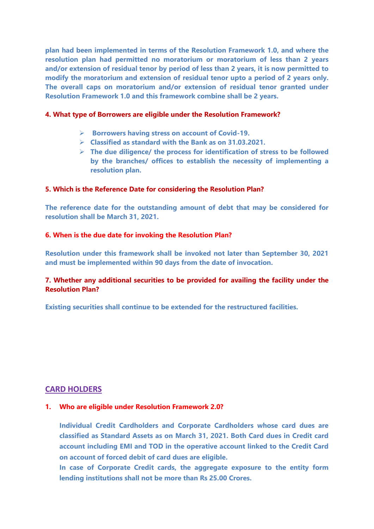**plan had been implemented in terms of the Resolution Framework 1.0, and where the resolution plan had permitted no moratorium or moratorium of less than 2 years and/or extension of residual tenor by period of less than 2 years, it is now permitted to modify the moratorium and extension of residual tenor upto a period of 2 years only. The overall caps on moratorium and/or extension of residual tenor granted under Resolution Framework 1.0 and this framework combine shall be 2 years.** 

#### **4. What type of Borrowers are eligible under the Resolution Framework?**

- **Borrowers having stress on account of Covid-19.**
- **Classified as standard with the Bank as on 31.03.2021.**
- **The due diligence/ the process for identification of stress to be followed by the branches/ offices to establish the necessity of implementing a resolution plan.**

### **5. Which is the Reference Date for considering the Resolution Plan?**

**The reference date for the outstanding amount of debt that may be considered for resolution shall be March 31, 2021.**

### **6. When is the due date for invoking the Resolution Plan?**

**Resolution under this framework shall be invoked not later than September 30, 2021 and must be implemented within 90 days from the date of invocation.**

## **7. Whether any additional securities to be provided for availing the facility under the Resolution Plan?**

**Existing securities shall continue to be extended for the restructured facilities.**

## **CARD HOLDERS**

#### **1. Who are eligible under Resolution Framework 2.0?**

**Individual Credit Cardholders and Corporate Cardholders whose card dues are classified as Standard Assets as on March 31, 2021. Both Card dues in Credit card account including EMI and TOD in the operative account linked to the Credit Card on account of forced debit of card dues are eligible.** 

**In case of Corporate Credit cards, the aggregate exposure to the entity form lending institutions shall not be more than Rs 25.00 Crores.**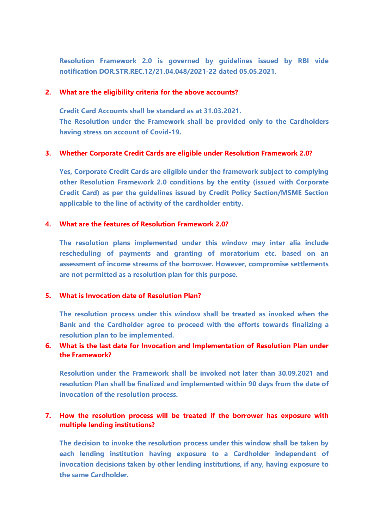**Resolution Framework 2.0 is governed by guidelines issued by RBI vide notification DOR.STR.REC.12/21.04.048/2021-22 dated 05.05.2021.**

### **2. What are the eligibility criteria for the above accounts?**

**Credit Card Accounts shall be standard as at 31.03.2021. The Resolution under the Framework shall be provided only to the Cardholders having stress on account of Covid-19.**

### **3. Whether Corporate Credit Cards are eligible under Resolution Framework 2.0?**

**Yes, Corporate Credit Cards are eligible under the framework subject to complying other Resolution Framework 2.0 conditions by the entity (issued with Corporate Credit Card) as per the guidelines issued by Credit Policy Section/MSME Section applicable to the line of activity of the cardholder entity.**

### **4. What are the features of Resolution Framework 2.0?**

**The resolution plans implemented under this window may inter alia include rescheduling of payments and granting of moratorium etc. based on an assessment of income streams of the borrower. However, compromise settlements are not permitted as a resolution plan for this purpose.**

### **5. What is Invocation date of Resolution Plan?**

**The resolution process under this window shall be treated as invoked when the Bank and the Cardholder agree to proceed with the efforts towards finalizing a resolution plan to be implemented.**

## **6. What is the last date for Invocation and Implementation of Resolution Plan under the Framework?**

**Resolution under the Framework shall be invoked not later than 30.09.2021 and resolution Plan shall be finalized and implemented within 90 days from the date of invocation of the resolution process.**

## **7. How the resolution process will be treated if the borrower has exposure with multiple lending institutions?**

**The decision to invoke the resolution process under this window shall be taken by each lending institution having exposure to a Cardholder independent of invocation decisions taken by other lending institutions, if any, having exposure to the same Cardholder.**